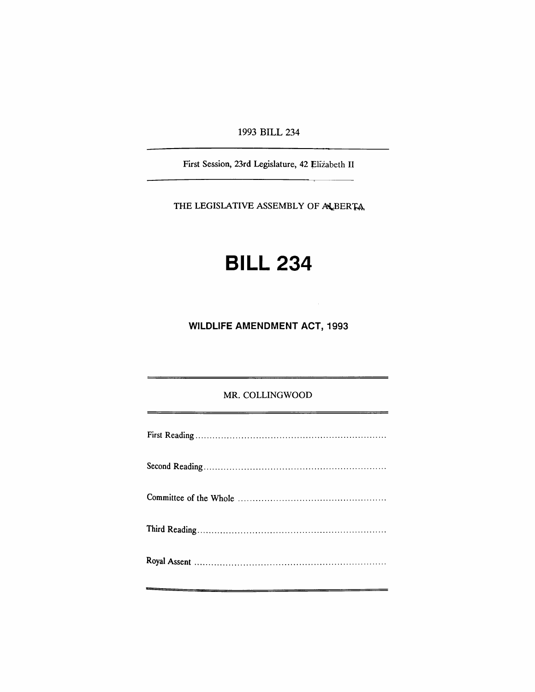1993 BILL 234

First Session, 23rd Legislature, 42 Elizabeth II

THE LEGISLATIVE ASSEMBLY OF ALBERTA.

# **BILL 234**

**WILDLIFE AMENDMENT ACT, 1993**

#### MR. COLLINGWOOD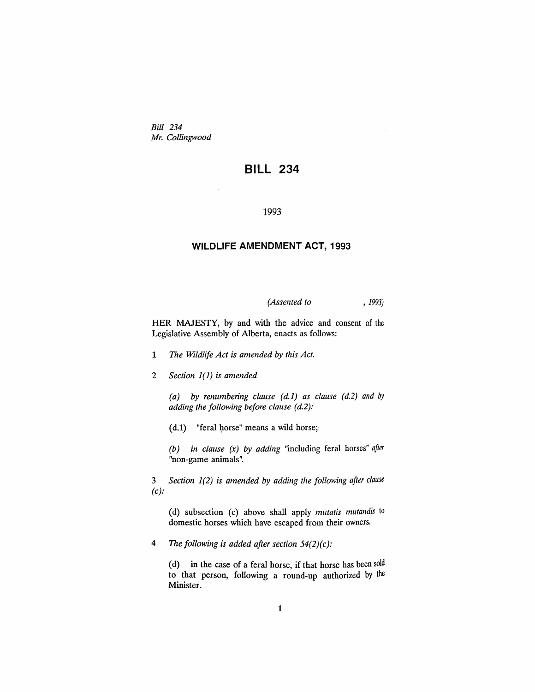*Bill 234 Mr. Collingwood*

## **BILL 234**

#### 1993

#### **WILDLIFE AMENDMENT ACT, 1993**

*(Assented to* , 1993)

HER MAJESTY, by and with the advice and consent of the Legislative Assembly of Alberta, enacts as follows:

- 1 *The Wildlife Act is amended by this Act.*
- *2 Section* 1(1) *is amended*

*(a) by renumbering clause* (*d.1) as clause (d.2) and* by *adding* the *following* before clause (d.2):

 $(d.1)$  "feral horse" means a wild horse;

*(b) in clause (x) by adding* "including feral horses" *after* "non-game animals".

3 *Section* 1(2) *is amended by adding the following after clause (c):*

(d) subsection (c) above shall apply *mutatis mutandis* to domestic horses which have escaped from their owners.

*4 The following is added after section 54(2)(c):*

(d) in the case of a feral horse, if that horse has been sold to that person, following a round-up authorized by the Minister.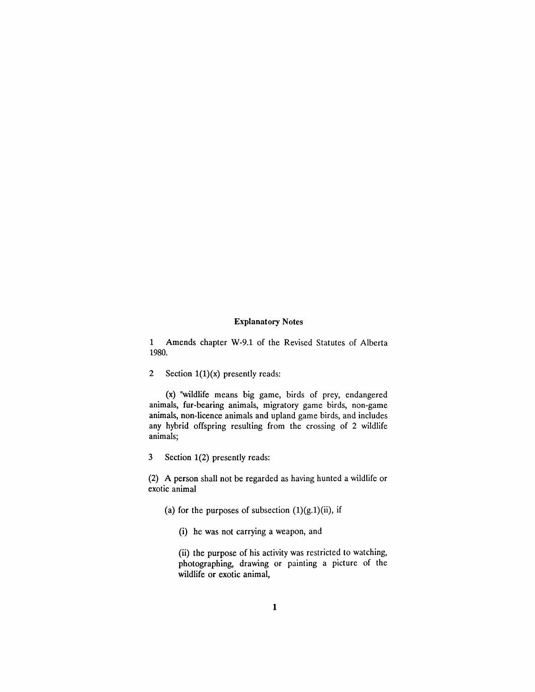#### **Explanatory Notes**

1 Amends chapter W-9.1 of the Revised Statutes of Alberta 1980.

2 Section  $1(1)(x)$  presently reads:

(x) "wildlife means big game, birds of prey, endangered animals, fur-bearing animals, migratory game birds, non-game animals, non-licence animals and upland game birds, and includes any hybrid offspring resulting from the crossing of 2 wildlife animals;

3 Section 1(2) presently reads:

(2) A person shall not be regarded as having hunted a wildlife or exotic animal

- (a) for the purposes of subsection  $(1)(g.1)(ii)$ , if
	- (i) he was not carrying a weapon, and

(ii) the purpose of his activity was restricted to watching, photographing, drawing or painting a picture of the wildlife or exotic animal,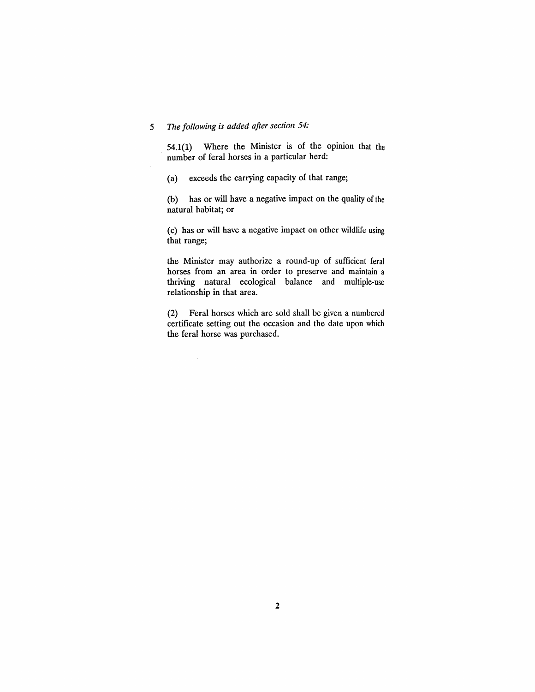### *5 The following is added after section 54:*

 $\bar{\gamma}$ 

 $54.1(1)$  Where the Minister is of the opinion that the number of feral horses in a particular herd:

(a) exceeds the carrying capacity of that range;

(b) has or will have a negative impact on the quality of the natural habitat; or

(c) has or will have a negative impact on other wildlife using that range;

the Minister may authorize a round-up of sufficient feral horses from an area in order to preserve and maintain a thriving natural ecological balance and multiple-use relationship in that area.

(2) Feral horses which are sold shall be given a numbered certificate setting out the occasion and the date upon which the feral horse was purchased.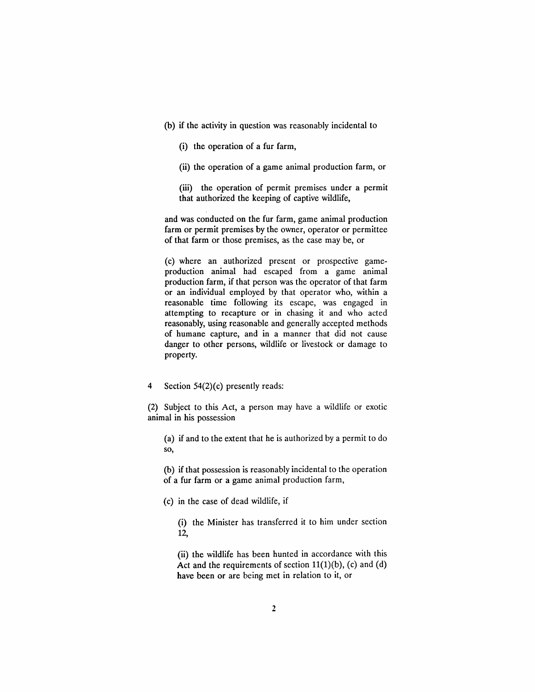- (b) if the activity in question was reasonably incidental to
	- (i) the operation of a fur farm,
	- (ii) the operation of a game animal production farm, or

(iii) the operation of permit premises under a permit that authorized the keeping of captive wildlife,

and was conducted on the fur farm, game animal production farm or permit premises by the owner, operator or permittee of that farm or those premises, as the case may be, or

(c) where an authorized present or prospective gameproduction animal had escaped from a game animal production farm, if that person was the operator of that farm or an individual employed by that operator who, within a reasonable time following its escape, was engaged in attempting to recapture or in chasing it and who acted reasonably, using reasonable and generally accepted methods of humane capture, and in a manner that did not cause danger to other persons, wildlife or livestock or damage to property.

4 Section 54(2)(c) presently reads:

(2) Subject to this Act, a person may have a wildlife or exotic animal in his possession

(a) if and to the extent that he is authorized by a permit to do so,

(b) if that possession is reasonably incidental to the operation of a fur farm or a game animal production farm,

(c) in the case of dead wildlife, if

(i) the Minister has transferred it to him under section 12,

(ii) the wildlife has been hunted in accordance with this Act and the requirements of section  $11(1)(b)$ , (c) and (d) have been or are being met in relation to it, or